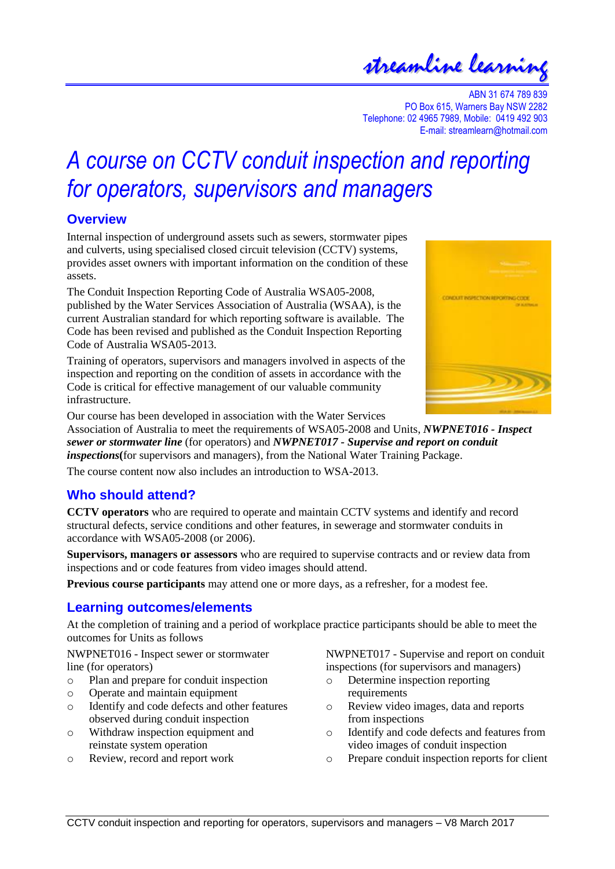## streamline learning

ABN 31 674 789 839 PO Box 615, Warners Bay NSW 2282 Telephone: 02 4965 7989, Mobile: 0419 492 903 E-mail: streamlearn@hotmail.com

# *A course on CCTV conduit inspection and reporting for operators, supervisors and managers*

#### **Overview**

Internal inspection of underground assets such as sewers, stormwater pipes and culverts, using specialised closed circuit television (CCTV) systems, provides asset owners with important information on the condition of these assets.

The Conduit Inspection Reporting Code of Australia WSA05-2008, published by the Water Services Association of Australia (WSAA), is the current Australian standard for which reporting software is available. The Code has been revised and published as the Conduit Inspection Reporting Code of Australia WSA05-2013.

Training of operators, supervisors and managers involved in aspects of the inspection and reporting on the condition of assets in accordance with the Code is critical for effective management of our valuable community infrastructure.



Our course has been developed in association with the Water Services

Association of Australia to meet the requirements of WSA05-2008 and Units, *NWPNET016 - Inspect sewer or stormwater line* (for operators) and *NWPNET017 - Supervise and report on conduit inspections***(**for supervisors and managers), from the National Water Training Package.

The course content now also includes an introduction to WSA-2013.

### **Who should attend?**

**CCTV operators** who are required to operate and maintain CCTV systems and identify and record structural defects, service conditions and other features, in sewerage and stormwater conduits in accordance with WSA05-2008 (or 2006).

**Supervisors, managers or assessors** who are required to supervise contracts and or review data from inspections and or code features from video images should attend.

**Previous course participants** may attend one or more days, as a refresher, for a modest fee.

#### **Learning outcomes/elements**

At the completion of training and a period of workplace practice participants should be able to meet the outcomes for Units as follows

NWPNET016 - Inspect sewer or stormwater line (for operators)

- o Plan and prepare for conduit inspection
- o Operate and maintain equipment
- o Identify and code defects and other features observed during conduit inspection
- o Withdraw inspection equipment and reinstate system operation
- o Review, record and report work

NWPNET017 - Supervise and report on conduit inspections (for supervisors and managers)

- o Determine inspection reporting requirements
- o Review video images, data and reports from inspections
- o Identify and code defects and features from video images of conduit inspection
- o Prepare conduit inspection reports for client